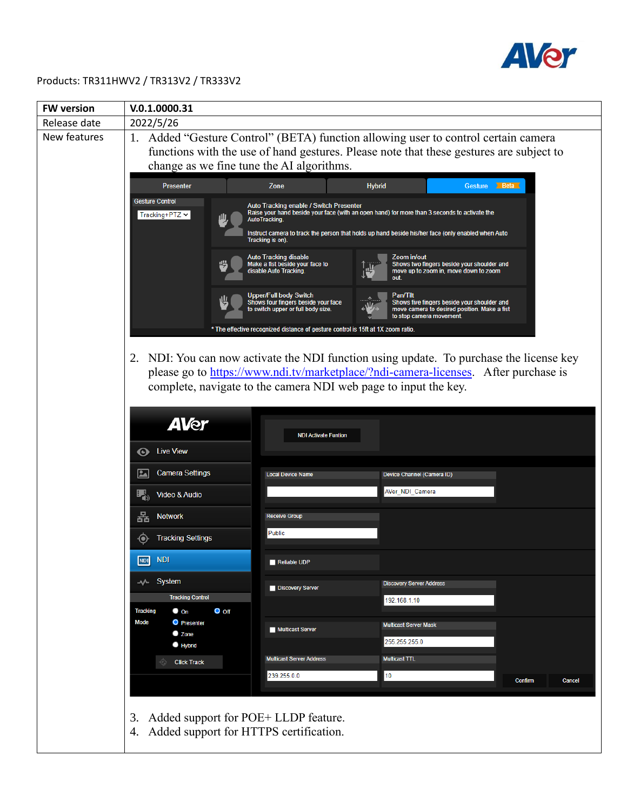

## Products: TR311HWV2 / TR313V2 / TR333V2

| <b>FW version</b> | V.0.1.0000.31                                                                              |                                                                                                                                                                                                                                                                                           |                                                                                                                                                                                                                                                   |  |  |  |
|-------------------|--------------------------------------------------------------------------------------------|-------------------------------------------------------------------------------------------------------------------------------------------------------------------------------------------------------------------------------------------------------------------------------------------|---------------------------------------------------------------------------------------------------------------------------------------------------------------------------------------------------------------------------------------------------|--|--|--|
| Release date      | 2022/5/26                                                                                  |                                                                                                                                                                                                                                                                                           |                                                                                                                                                                                                                                                   |  |  |  |
| New features      | 1. Added "Gesture Control" (BETA) function allowing user to control certain camera         |                                                                                                                                                                                                                                                                                           |                                                                                                                                                                                                                                                   |  |  |  |
|                   | functions with the use of hand gestures. Please note that these gestures are subject to    |                                                                                                                                                                                                                                                                                           |                                                                                                                                                                                                                                                   |  |  |  |
|                   | change as we fine tune the AI algorithms.                                                  |                                                                                                                                                                                                                                                                                           |                                                                                                                                                                                                                                                   |  |  |  |
|                   | <b>Presenter</b>                                                                           | Gesture Beta<br><b>Hybrid</b>                                                                                                                                                                                                                                                             |                                                                                                                                                                                                                                                   |  |  |  |
|                   | <b>Gesture Control</b><br>Tracking+PTZ $\blacktriangleright$                               | Auto Tracking enable / Switch Presenter<br>Raise your hand beside your face (with an open hand) for more than 3 seconds to activate the<br><b>AutoTracking.</b><br>Instruct camera to track the person that holds up hand beside his/her face (only enabled when Auto<br>Tracking is on). |                                                                                                                                                                                                                                                   |  |  |  |
|                   |                                                                                            | Auto Tracking disable<br>Make a fist beside your face to<br>disable Auto Tracking.                                                                                                                                                                                                        | Zoom in/out<br>Shows two fingers beside your shoulder and<br>move up to zoom in, move down to zoom                                                                                                                                                |  |  |  |
|                   |                                                                                            | Upper/Full body Switch<br>Shows four fingers beside your face<br>to switch upper or full body size.                                                                                                                                                                                       | Pan/Tilt<br>Shows five fingers beside your shoulder and<br>move camera to desired position. Make a fist<br>to stop camera movement.                                                                                                               |  |  |  |
|                   |                                                                                            | * The effective recognized distance of gesture control is 15ft at 1X zoom ratio.                                                                                                                                                                                                          | 2. NDI: You can now activate the NDI function using update. To purchase the license key<br>please go to https://www.ndi.tv/marketplace/?ndi-camera-licenses. After purchase is<br>complete, navigate to the camera NDI web page to input the key. |  |  |  |
|                   | <b>AVer</b><br><b>Live View</b><br>0                                                       | <b>NDI Activate Funtion</b>                                                                                                                                                                                                                                                               |                                                                                                                                                                                                                                                   |  |  |  |
|                   | <b>Camera Settings</b><br><u>La</u>                                                        | <b>Local Device Name</b>                                                                                                                                                                                                                                                                  | Device Channel (Camera ID)                                                                                                                                                                                                                        |  |  |  |
|                   | Ц,<br>Video & Audio                                                                        |                                                                                                                                                                                                                                                                                           | AVer_NDI_Camera                                                                                                                                                                                                                                   |  |  |  |
|                   | 묢<br><b>Network</b>                                                                        | <b>Receive Group</b>                                                                                                                                                                                                                                                                      |                                                                                                                                                                                                                                                   |  |  |  |
|                   | <b>Tracking Settings</b>                                                                   | Public                                                                                                                                                                                                                                                                                    |                                                                                                                                                                                                                                                   |  |  |  |
|                   | NDI NDI                                                                                    | Reliable UDP                                                                                                                                                                                                                                                                              |                                                                                                                                                                                                                                                   |  |  |  |
|                   | - $\vee$ System<br><b>Tracking Control</b>                                                 | Discovery Server                                                                                                                                                                                                                                                                          | <b>Discovery Server Address</b><br>192.168.1.10                                                                                                                                                                                                   |  |  |  |
|                   | <b>Tracking</b><br>$\bullet$ on<br>$O$ off                                                 |                                                                                                                                                                                                                                                                                           |                                                                                                                                                                                                                                                   |  |  |  |
|                   | Mode<br><b>O</b> Presenter<br>C Zone                                                       | Multicast Server                                                                                                                                                                                                                                                                          | <b>Multicast Server Mask</b>                                                                                                                                                                                                                      |  |  |  |
|                   | <b>B</b> Hybrid                                                                            |                                                                                                                                                                                                                                                                                           | 255.255.255.0                                                                                                                                                                                                                                     |  |  |  |
|                   | <b>Click Track</b>                                                                         | <b>Multicast Server Address</b>                                                                                                                                                                                                                                                           | <b>Multicast TTL</b>                                                                                                                                                                                                                              |  |  |  |
|                   |                                                                                            | 239.255.0.0                                                                                                                                                                                                                                                                               | 10<br><b>Confirm</b><br>Cancel                                                                                                                                                                                                                    |  |  |  |
|                   | Added support for POE+ LLDP feature.<br>3.<br>Added support for HTTPS certification.<br>4. |                                                                                                                                                                                                                                                                                           |                                                                                                                                                                                                                                                   |  |  |  |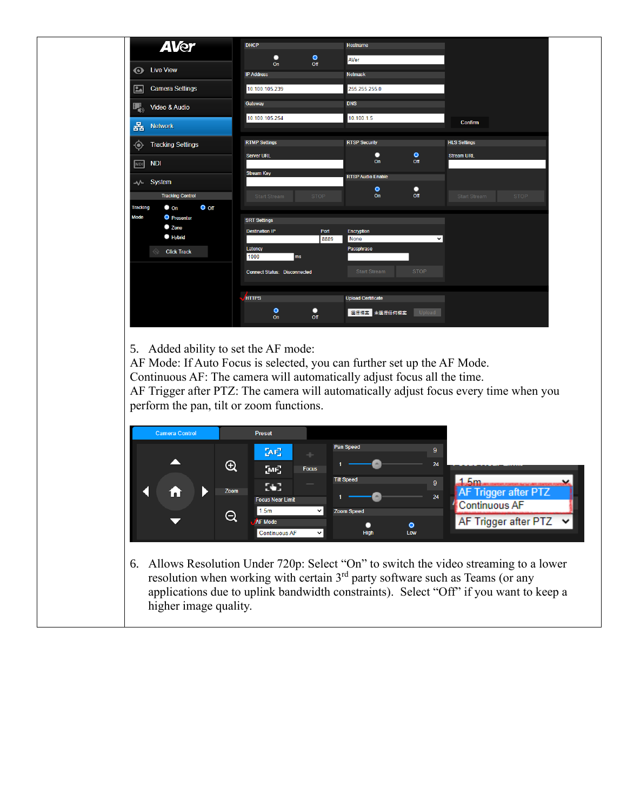| <b>AVer</b>                                 |                                       |                                                  |                             |
|---------------------------------------------|---------------------------------------|--------------------------------------------------|-----------------------------|
|                                             | $\bullet$<br>о<br>Off<br>On           | AVer                                             |                             |
| <b>Live View</b><br>$\boldsymbol{\odot}$    | <b>IP Address</b>                     | <b>Netmask</b>                                   |                             |
| <b>Camera Settings</b><br>$\boxed{2}$       | 10.100.105.239                        | 255.255.255.0                                    |                             |
| 曙<br>Video & Audio                          | Gateway                               | <b>DNS</b>                                       |                             |
| 홂<br><b>Network</b>                         | 10.100.105.254                        | 10.100.1.5                                       | Confirm                     |
| <b>Tracking Settings</b><br>⊙-              | <b>RTMP Settings</b>                  | <b>RTSP Security</b>                             | <b>HLS Settings</b>         |
| <b>NDI</b><br><b>NDI</b>                    | <b>Server URL</b>                     | $\bullet$<br>ο<br>On<br>Off                      | <b>Stream URL</b>           |
| - System                                    | <b>Stream Key</b>                     | <b>RTSP Audio Enable</b>                         |                             |
| <b>Tracking Control</b>                     | <b>STOP</b><br><b>Start Stream</b>    | $\bullet$<br>о<br>Off<br>On                      | <b>STOP</b><br>Start Stream |
| $O$ off<br><b>Tracking</b><br>$\bullet$ on  |                                       |                                                  |                             |
| <b>Mode</b><br><b>O</b> Presenter<br>C Zone | <b>SRT Settings</b>                   |                                                  |                             |
| $\bullet$ Hybrid                            | <b>Destination IP</b><br>Port<br>8889 | <b>Encryption</b><br><b>None</b><br>$\checkmark$ |                             |
| Ġ<br><b>Click Track</b>                     | Latency                               | Passphrase                                       |                             |
|                                             | 1000<br>ms                            |                                                  |                             |
|                                             | <b>Connect Status: Disconnected</b>   | <b>Start Stream</b><br><b>STOP</b>               |                             |
|                                             | <b>HTTPS</b>                          | <b>Upload Certificate</b>                        |                             |
|                                             |                                       |                                                  |                             |
|                                             | $\bullet$<br>о<br>On<br>Off           | 選擇檔案 未選擇任何檔案<br>Upload                           |                             |

5. Added ability to set the AF mode:

AF Mode: If Auto Focus is selected, you can further set up the AF Mode. Continuous AF: The camera will automatically adjust focus all the time. AF Trigger after PTZ: The camera will automatically adjust focus every time when you perform the pan, tilt or zoom functions.

| <b>Camera Control</b> |                     | Preset                                                     |                          |                                                    |
|-----------------------|---------------------|------------------------------------------------------------|--------------------------|----------------------------------------------------|
|                       | $\bigoplus$         | $AF_1$                                                     | <b>Pan Speed</b>         | 9<br>24                                            |
|                       |                     | M <sub>2</sub><br><b>Focus</b><br>ю.                       | <b>Tilt Speed</b>        | 9                                                  |
|                       | Zoom                | <b>Focus Near Limit</b><br>1.5 <sub>m</sub><br>$\check{ }$ | <b>Zoom Speed</b>        | AF Trigger after PTZ<br>24<br><b>Continuous AF</b> |
|                       | $\overline{\Theta}$ | <b>AF Mode</b><br><b>Continuous AF</b><br>$\checkmark$     | $\bullet$<br>High<br>Low | AF Trigger after PTZ $\vert \mathbf{v} \vert$      |

6. Allows Resolution Under 720p: Select "On" to switch the video streaming to a lower resolution when working with certain  $3<sup>rd</sup>$  party software such as Teams (or any applications due to uplink bandwidth constraints). Select "Off" if you want to keep a higher image quality.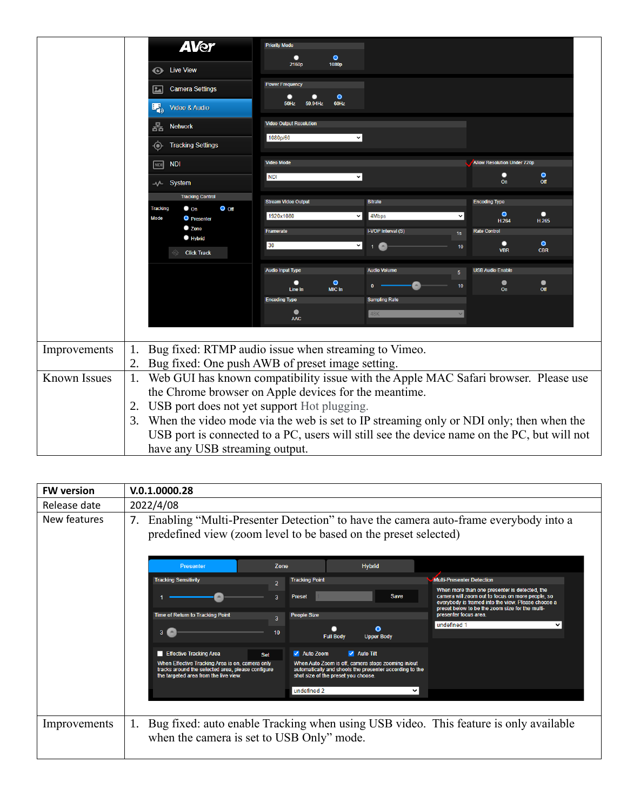|              | <b>AVer</b><br><b>Eive View</b><br><b>Camera Settings</b><br>24<br>曝。<br>Video & Audio<br>묢<br><b>Network</b>                                                  | <b>Priority Mode</b><br>$\bullet$<br>1080p<br>2160p<br><b>Power Frequency</b><br>$\bullet$<br>о<br>60Hz<br>50Hz<br>59.94Hz<br><b>Video Output Resolution</b><br>1080p/60<br>$\checkmark$                                                                                                                                                                                             |                                                                                                                                |  |  |  |
|--------------|----------------------------------------------------------------------------------------------------------------------------------------------------------------|--------------------------------------------------------------------------------------------------------------------------------------------------------------------------------------------------------------------------------------------------------------------------------------------------------------------------------------------------------------------------------------|--------------------------------------------------------------------------------------------------------------------------------|--|--|--|
|              | <b>Tracking Settings</b><br>⊙<br><b>NDI</b><br><b>NDI</b><br>⊸∧⊢ System                                                                                        | <b>Video Mode</b><br><b>NDI</b><br>v                                                                                                                                                                                                                                                                                                                                                 | <b>Allow Resolution Under 720p</b><br>$\bullet$<br>о<br>Off<br>On                                                              |  |  |  |
|              | <b>Tracking Control</b><br>$O$ off<br><b>Tracking</b><br>$\bullet$ on<br>Mode<br><b>O</b> Presenter<br>$\bullet$ Zone<br><b>B</b> Hybrid<br><b>Click Track</b> | <b>Stream Video Output</b><br><b>Bitrate</b><br>1920x1080<br>4Mbps<br>I-VOP Interval (S)<br>Framerate<br>1s<br>30<br>×l<br>$\blacksquare$                                                                                                                                                                                                                                            | <b>Encoding Type</b><br>$\bullet$<br>о<br>H.264<br>H.265<br><b>Rate Control</b><br>$\bullet$<br>10<br><b>VBR</b><br><b>CBR</b> |  |  |  |
|              |                                                                                                                                                                | <b>Audio Volume</b><br><b>Audio Input Type</b><br>5 <sup>1</sup><br>$\bullet$<br>о<br>MIC In<br>Line In<br><b>Sampling Rate</b><br><b>Encoding Type</b><br>$\bullet$<br>48K<br><b>AAC</b>                                                                                                                                                                                            | <b>USB Audio Enable</b><br>$\bullet$<br>$\bullet$<br>10<br>On<br>Off<br>$\checkmark$                                           |  |  |  |
| Improvements | 1.<br>2.                                                                                                                                                       | Bug fixed: RTMP audio issue when streaming to Vimeo.<br>Bug fixed: One push AWB of preset image setting.                                                                                                                                                                                                                                                                             |                                                                                                                                |  |  |  |
| Known Issues | 1.<br>2.<br>3.<br>have any USB streaming output.                                                                                                               | Web GUI has known compatibility issue with the Apple MAC Safari browser. Please use<br>the Chrome browser on Apple devices for the meantime.<br>USB port does not yet support Hot plugging.<br>When the video mode via the web is set to IP streaming only or NDI only; then when the<br>USB port is connected to a PC, users will still see the device name on the PC, but will not |                                                                                                                                |  |  |  |

| <b>FW version</b> | V.0.1.0000.28                                                                                                                                                                                                                                                                                                                                                                                                |  |  |  |  |  |
|-------------------|--------------------------------------------------------------------------------------------------------------------------------------------------------------------------------------------------------------------------------------------------------------------------------------------------------------------------------------------------------------------------------------------------------------|--|--|--|--|--|
| Release date      | 2022/4/08                                                                                                                                                                                                                                                                                                                                                                                                    |  |  |  |  |  |
| New features      | Enabling "Multi-Presenter Detection" to have the camera auto-frame everybody into a<br>7.<br>predefined view (zoom level to be based on the preset selected)                                                                                                                                                                                                                                                 |  |  |  |  |  |
|                   | <b>Hybrid</b><br><b>Presenter</b><br>Zone                                                                                                                                                                                                                                                                                                                                                                    |  |  |  |  |  |
|                   | <b>Tracking Sensitivity</b><br><b>Tracking Point</b><br>Multi-Presenter Detection<br>2                                                                                                                                                                                                                                                                                                                       |  |  |  |  |  |
|                   | When more than one presenter is detected, the<br>camera will zoom out to focus on more people, so<br><b>Save</b><br>Preset<br>everybody is framed into the view. Please choose a<br>preset below to be the zoom size for the multi-<br><b>Time of Return to Tracking Point</b><br><b>People Size</b><br>presenter focus area.                                                                                |  |  |  |  |  |
|                   | undefined 1<br>び<br>O<br>3 <sup>2</sup><br>10<br><b>Full Body</b><br><b>Upper Body</b>                                                                                                                                                                                                                                                                                                                       |  |  |  |  |  |
|                   | ✔ Auto Zoom<br>$\sqrt{\phantom{a}}$ Auto Tilt<br>Effective Tracking Area<br>Set<br>When Effective Tracking Area is on, camera only<br>When Auto Zoom is off, camera stops zooming in/out<br>tracks around the selected area, please configure<br>automatically and shoots the presenter according to the<br>shot size of the preset you choose.<br>the targeted area from the live view.<br>undefined 2<br>◡ |  |  |  |  |  |
| Improvements      | Bug fixed: auto enable Tracking when using USB video. This feature is only available<br>1.<br>when the camera is set to USB Only" mode.                                                                                                                                                                                                                                                                      |  |  |  |  |  |